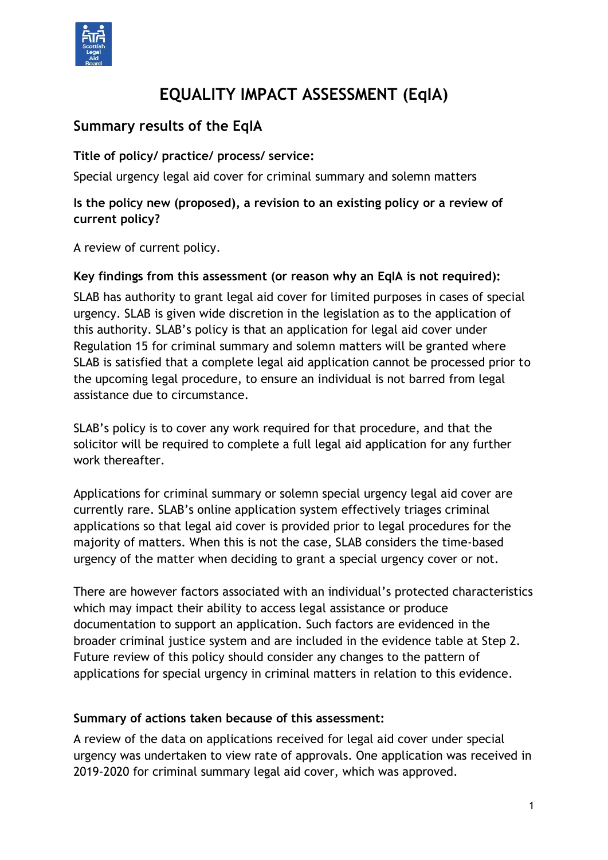

# **EQUALITY IMPACT ASSESSMENT (EqIA)**

# **Summary results of the EqIA**

**Title of policy/ practice/ process/ service:**

Special urgency legal aid cover for criminal summary and solemn matters

## **Is the policy new (proposed), a revision to an existing policy or a review of current policy?**

A review of current policy.

### **Key findings from this assessment (or reason why an EqIA is not required):**

SLAB has authority to grant legal aid cover for limited purposes in cases of special urgency. SLAB is given wide discretion in the legislation as to the application of this authority. SLAB's policy is that an application for legal aid cover under Regulation 15 for criminal summary and solemn matters will be granted where SLAB is satisfied that a complete legal aid application cannot be processed prior to the upcoming legal procedure, to ensure an individual is not barred from legal assistance due to circumstance.

SLAB's policy is to cover any work required for that procedure, and that the solicitor will be required to complete a full legal aid application for any further work thereafter.

Applications for criminal summary or solemn special urgency legal aid cover are currently rare. SLAB's online application system effectively triages criminal applications so that legal aid cover is provided prior to legal procedures for the majority of matters. When this is not the case, SLAB considers the time-based urgency of the matter when deciding to grant a special urgency cover or not.

There are however factors associated with an individual's protected characteristics which may impact their ability to access legal assistance or produce documentation to support an application. Such factors are evidenced in the broader criminal justice system and are included in the evidence table at Step 2. Future review of this policy should consider any changes to the pattern of applications for special urgency in criminal matters in relation to this evidence.

#### **Summary of actions taken because of this assessment:**

A review of the data on applications received for legal aid cover under special urgency was undertaken to view rate of approvals. One application was received in 2019-2020 for criminal summary legal aid cover, which was approved.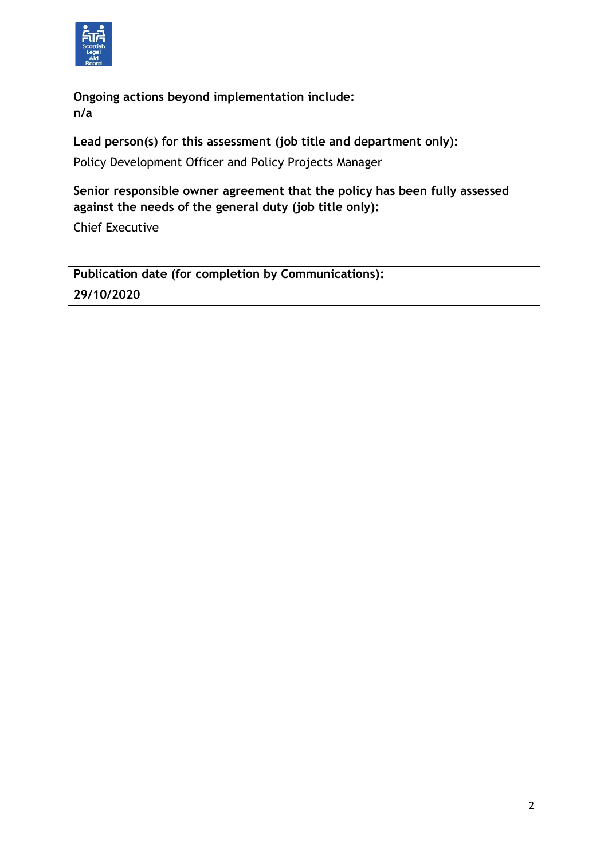

**Ongoing actions beyond implementation include: n/a**

**Lead person(s) for this assessment (job title and department only):**

Policy Development Officer and Policy Projects Manager

**Senior responsible owner agreement that the policy has been fully assessed against the needs of the general duty (job title only):**

Chief Executive

**Publication date (for completion by Communications): 29/10/2020**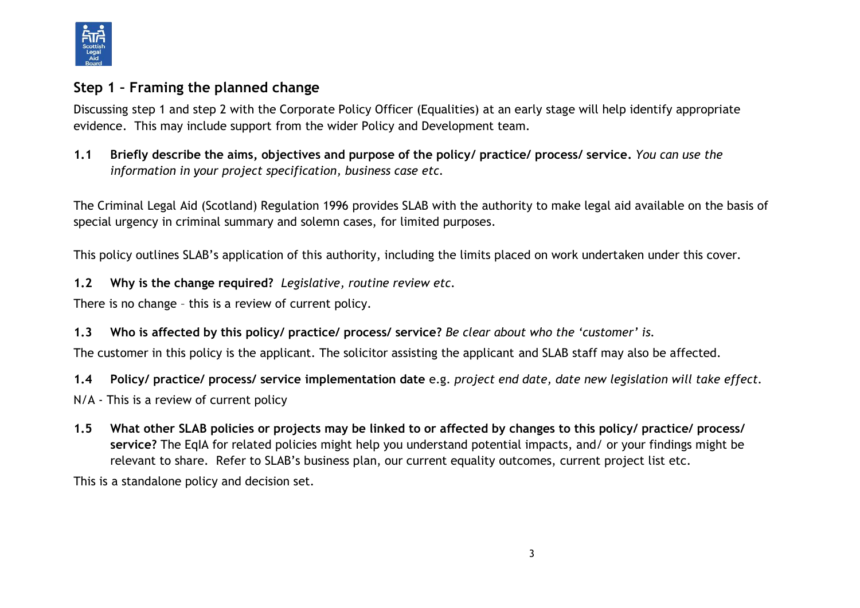

## **Step 1 – Framing the planned change**

Discussing step 1 and step 2 with the Corporate Policy Officer (Equalities) at an early stage will help identify appropriate evidence. This may include support from the wider Policy and Development team.

**1.1 Briefly describe the aims, objectives and purpose of the policy/ practice/ process/ service.** *You can use the information in your project specification, business case etc.* 

The Criminal Legal Aid (Scotland) Regulation 1996 provides SLAB with the authority to make legal aid available on the basis of special urgency in criminal summary and solemn cases, for limited purposes.

This policy outlines SLAB's application of this authority, including the limits placed on work undertaken under this cover.

**1.2 Why is the change required?** *Legislative, routine review etc.*

There is no change – this is a review of current policy.

**1.3 Who is affected by this policy/ practice/ process/ service?** *Be clear about who the 'customer' is.*

The customer in this policy is the applicant. The solicitor assisting the applicant and SLAB staff may also be affected.

**1.4 Policy/ practice/ process/ service implementation date** e.g. *project end date, date new legislation will take effect.*

- N/A This is a review of current policy
- **1.5 What other SLAB policies or projects may be linked to or affected by changes to this policy/ practice/ process/ service?** The EqIA for related policies might help you understand potential impacts, and/ or your findings might be relevant to share. Refer to SLAB's business plan, our current equality outcomes, current project list etc.

This is a standalone policy and decision set.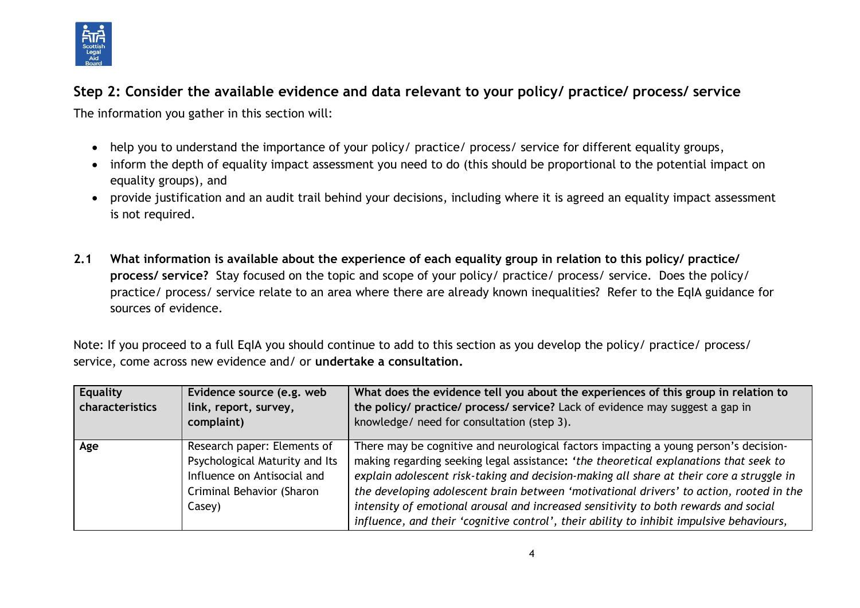

# **Step 2: Consider the available evidence and data relevant to your policy/ practice/ process/ service**

The information you gather in this section will:

- help you to understand the importance of your policy/ practice/ process/ service for different equality groups,
- inform the depth of equality impact assessment you need to do (this should be proportional to the potential impact on equality groups), and
- provide justification and an audit trail behind your decisions, including where it is agreed an equality impact assessment is not required.
- **2.1 What information is available about the experience of each equality group in relation to this policy/ practice/ process/ service?** Stay focused on the topic and scope of your policy/ practice/ process/ service. Does the policy/ practice/ process/ service relate to an area where there are already known inequalities? Refer to the EqIA guidance for sources of evidence.

Note: If you proceed to a full EqIA you should continue to add to this section as you develop the policy/ practice/ process/ service, come across new evidence and/ or **undertake a consultation.**

| <b>Equality</b><br>characteristics | Evidence source (e.g. web<br>link, report, survey,<br>complaint)                                                                    | What does the evidence tell you about the experiences of this group in relation to<br>the policy/ practice/ process/ service? Lack of evidence may suggest a gap in<br>knowledge/ need for consultation (step 3).                                                                                                                                                                                                                                                                                                                                       |
|------------------------------------|-------------------------------------------------------------------------------------------------------------------------------------|---------------------------------------------------------------------------------------------------------------------------------------------------------------------------------------------------------------------------------------------------------------------------------------------------------------------------------------------------------------------------------------------------------------------------------------------------------------------------------------------------------------------------------------------------------|
| Age                                | Research paper: Elements of<br>Psychological Maturity and Its<br>Influence on Antisocial and<br>Criminal Behavior (Sharon<br>Casey) | There may be cognitive and neurological factors impacting a young person's decision-<br>making regarding seeking legal assistance: 'the theoretical explanations that seek to<br>explain adolescent risk-taking and decision-making all share at their core a struggle in<br>the developing adolescent brain between 'motivational drivers' to action, rooted in the<br>intensity of emotional arousal and increased sensitivity to both rewards and social<br>influence, and their 'cognitive control', their ability to inhibit impulsive behaviours, |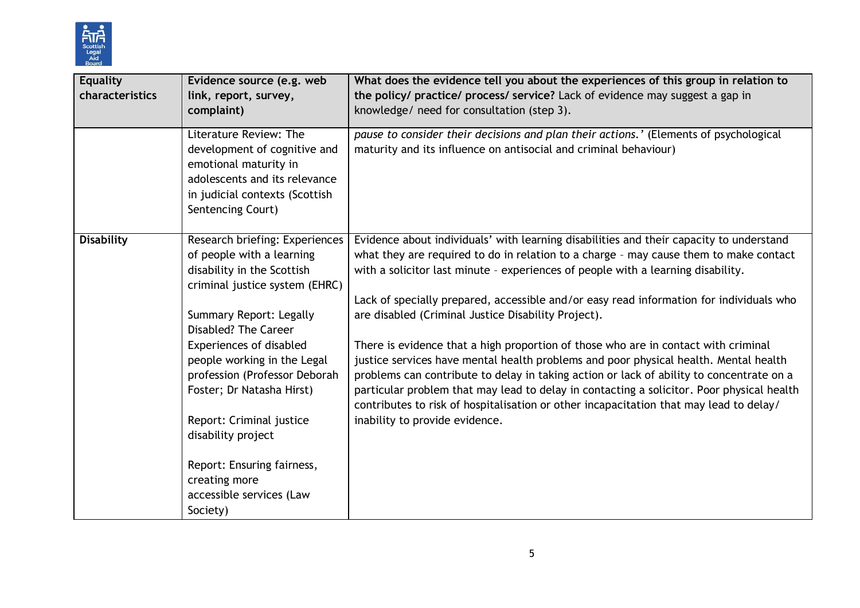

| <b>Equality</b><br>characteristics | Evidence source (e.g. web<br>link, report, survey,<br>complaint)                                                                                                                                             | What does the evidence tell you about the experiences of this group in relation to<br>the policy/ practice/ process/ service? Lack of evidence may suggest a gap in<br>knowledge/ need for consultation (step 3).                                                                                                                                                                                                                                                                               |
|------------------------------------|--------------------------------------------------------------------------------------------------------------------------------------------------------------------------------------------------------------|-------------------------------------------------------------------------------------------------------------------------------------------------------------------------------------------------------------------------------------------------------------------------------------------------------------------------------------------------------------------------------------------------------------------------------------------------------------------------------------------------|
|                                    | Literature Review: The<br>development of cognitive and<br>emotional maturity in<br>adolescents and its relevance<br>in judicial contexts (Scottish<br>Sentencing Court)                                      | pause to consider their decisions and plan their actions.' (Elements of psychological<br>maturity and its influence on antisocial and criminal behaviour)                                                                                                                                                                                                                                                                                                                                       |
| <b>Disability</b>                  | Research briefing: Experiences<br>of people with a learning<br>disability in the Scottish<br>criminal justice system (EHRC)<br>Summary Report: Legally                                                       | Evidence about individuals' with learning disabilities and their capacity to understand<br>what they are required to do in relation to a charge - may cause them to make contact<br>with a solicitor last minute - experiences of people with a learning disability.<br>Lack of specially prepared, accessible and/or easy read information for individuals who<br>are disabled (Criminal Justice Disability Project).                                                                          |
|                                    | <b>Disabled? The Career</b><br><b>Experiences of disabled</b><br>people working in the Legal<br>profession (Professor Deborah<br>Foster; Dr Natasha Hirst)<br>Report: Criminal justice<br>disability project | There is evidence that a high proportion of those who are in contact with criminal<br>justice services have mental health problems and poor physical health. Mental health<br>problems can contribute to delay in taking action or lack of ability to concentrate on a<br>particular problem that may lead to delay in contacting a solicitor. Poor physical health<br>contributes to risk of hospitalisation or other incapacitation that may lead to delay/<br>inability to provide evidence. |
|                                    | Report: Ensuring fairness,<br>creating more<br>accessible services (Law<br>Society)                                                                                                                          |                                                                                                                                                                                                                                                                                                                                                                                                                                                                                                 |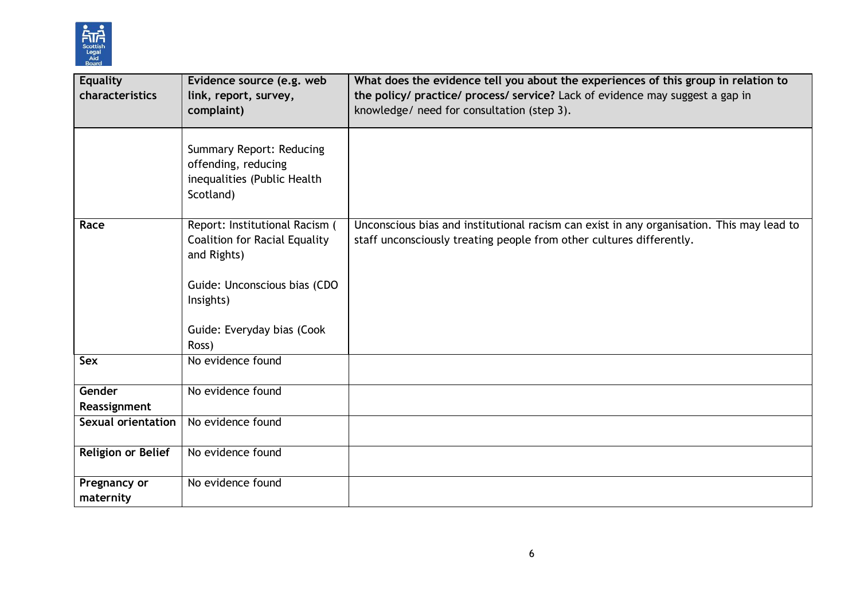

| <b>Equality</b><br>characteristics | Evidence source (e.g. web<br>link, report, survey,<br>complaint)                                                                   | What does the evidence tell you about the experiences of this group in relation to<br>the policy/ practice/ process/ service? Lack of evidence may suggest a gap in<br>knowledge/ need for consultation (step 3). |
|------------------------------------|------------------------------------------------------------------------------------------------------------------------------------|-------------------------------------------------------------------------------------------------------------------------------------------------------------------------------------------------------------------|
|                                    | <b>Summary Report: Reducing</b><br>offending, reducing<br>inequalities (Public Health<br>Scotland)                                 |                                                                                                                                                                                                                   |
| Race                               | Report: Institutional Racism (<br><b>Coalition for Racial Equality</b><br>and Rights)<br>Guide: Unconscious bias (CDO<br>Insights) | Unconscious bias and institutional racism can exist in any organisation. This may lead to<br>staff unconsciously treating people from other cultures differently.                                                 |
|                                    | Guide: Everyday bias (Cook<br>Ross)                                                                                                |                                                                                                                                                                                                                   |
| Sex                                | No evidence found                                                                                                                  |                                                                                                                                                                                                                   |
| Gender<br>Reassignment             | No evidence found                                                                                                                  |                                                                                                                                                                                                                   |
| <b>Sexual orientation</b>          | No evidence found                                                                                                                  |                                                                                                                                                                                                                   |
| <b>Religion or Belief</b>          | No evidence found                                                                                                                  |                                                                                                                                                                                                                   |
| Pregnancy or<br>maternity          | No evidence found                                                                                                                  |                                                                                                                                                                                                                   |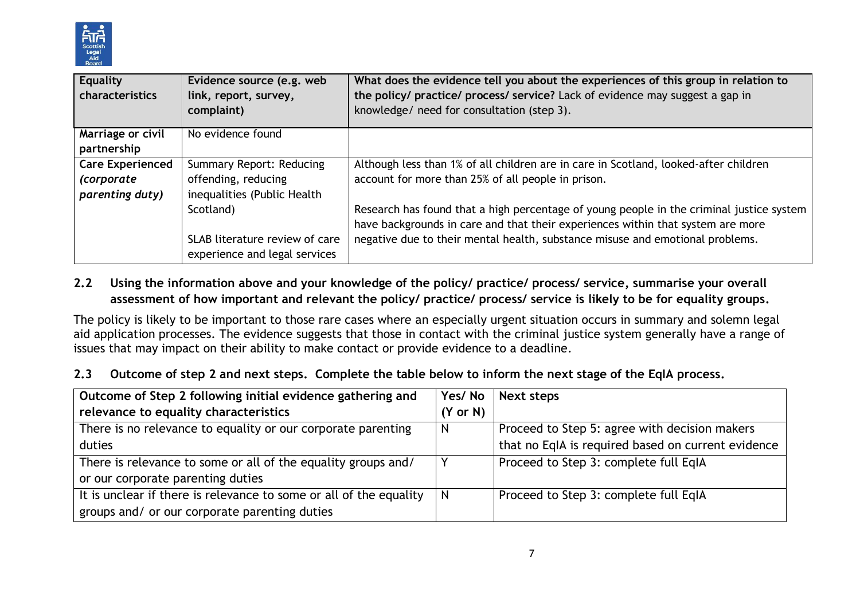

| <b>Equality</b>         | Evidence source (e.g. web       | What does the evidence tell you about the experiences of this group in relation to       |
|-------------------------|---------------------------------|------------------------------------------------------------------------------------------|
| characteristics         | link, report, survey,           | the policy/ practice/ process/ service? Lack of evidence may suggest a gap in            |
|                         | complaint)                      | knowledge/ need for consultation (step 3).                                               |
| Marriage or civil       | No evidence found               |                                                                                          |
| partnership             |                                 |                                                                                          |
| <b>Care Experienced</b> | <b>Summary Report: Reducing</b> | Although less than 1% of all children are in care in Scotland, looked-after children     |
| (corporate              | offending, reducing             | account for more than 25% of all people in prison.                                       |
| parenting duty)         | inequalities (Public Health     |                                                                                          |
|                         | Scotland)                       | Research has found that a high percentage of young people in the criminal justice system |
|                         |                                 | have backgrounds in care and that their experiences within that system are more          |
|                         | SLAB literature review of care  | negative due to their mental health, substance misuse and emotional problems.            |
|                         | experience and legal services   |                                                                                          |

## **2.2 Using the information above and your knowledge of the policy/ practice/ process/ service, summarise your overall assessment of how important and relevant the policy/ practice/ process/ service is likely to be for equality groups.**

The policy is likely to be important to those rare cases where an especially urgent situation occurs in summary and solemn legal aid application processes. The evidence suggests that those in contact with the criminal justice system generally have a range of issues that may impact on their ability to make contact or provide evidence to a deadline.

#### **2.3 Outcome of step 2 and next steps. Complete the table below to inform the next stage of the EqIA process.**

| Outcome of Step 2 following initial evidence gathering and         | Yes/No              | Next steps                                         |
|--------------------------------------------------------------------|---------------------|----------------------------------------------------|
| relevance to equality characteristics                              | $(Y \text{ or } N)$ |                                                    |
| There is no relevance to equality or our corporate parenting       | N                   | Proceed to Step 5: agree with decision makers      |
| duties                                                             |                     | that no EqIA is required based on current evidence |
| There is relevance to some or all of the equality groups and/      |                     | Proceed to Step 3: complete full EqIA              |
| or our corporate parenting duties                                  |                     |                                                    |
| It is unclear if there is relevance to some or all of the equality |                     | Proceed to Step 3: complete full EqIA              |
| groups and/ or our corporate parenting duties                      |                     |                                                    |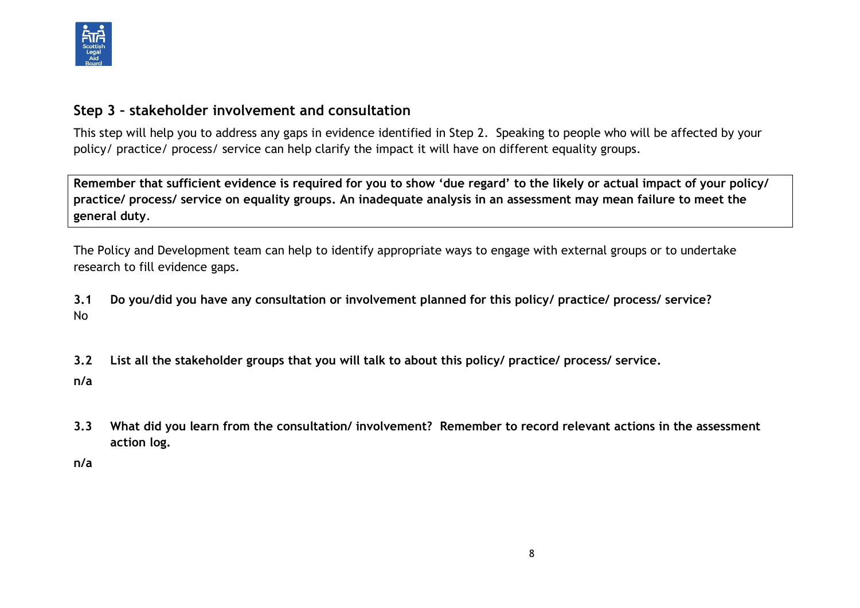

## **Step 3 – stakeholder involvement and consultation**

This step will help you to address any gaps in evidence identified in Step 2. Speaking to people who will be affected by your policy/ practice/ process/ service can help clarify the impact it will have on different equality groups.

**Remember that sufficient evidence is required for you to show 'due regard' to the likely or actual impact of your policy/ practice/ process/ service on equality groups. An inadequate analysis in an assessment may mean failure to meet the general duty**.

The Policy and Development team can help to identify appropriate ways to engage with external groups or to undertake research to fill evidence gaps.

**3.1 Do you/did you have any consultation or involvement planned for this policy/ practice/ process/ service?**  No

**3.2 List all the stakeholder groups that you will talk to about this policy/ practice/ process/ service.** 

**n/a**

**3.3 What did you learn from the consultation/ involvement? Remember to record relevant actions in the assessment action log.**

**n/a**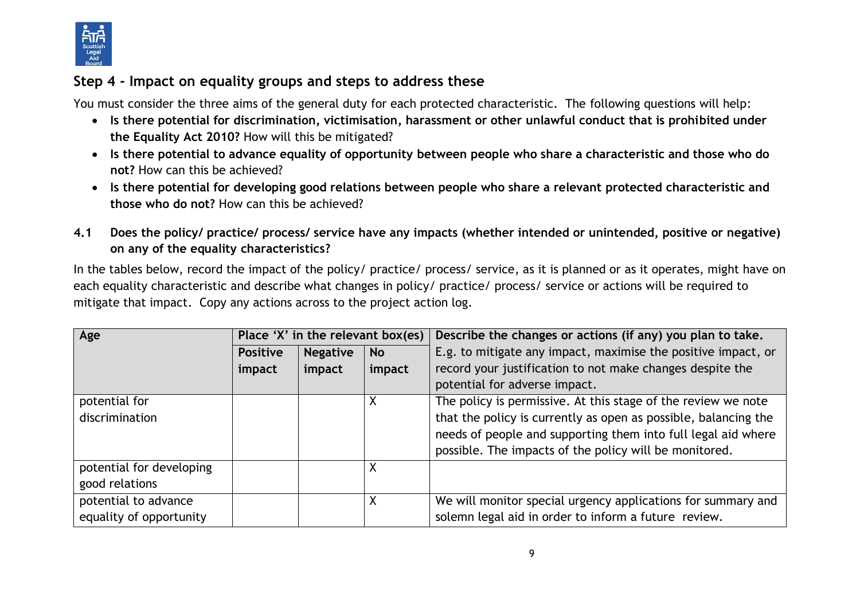

# **Step 4 - Impact on equality groups and steps to address these**

You must consider the three aims of the general duty for each protected characteristic. The following questions will help:

- **Is there potential for discrimination, victimisation, harassment or other unlawful conduct that is prohibited under the Equality Act 2010?** How will this be mitigated?
- **Is there potential to advance equality of opportunity between people who share a characteristic and those who do not?** How can this be achieved?
- **Is there potential for developing good relations between people who share a relevant protected characteristic and those who do not?** How can this be achieved?
- **4.1 Does the policy/ practice/ process/ service have any impacts (whether intended or unintended, positive or negative) on any of the equality characteristics?**

In the tables below, record the impact of the policy/ practice/ process/ service, as it is planned or as it operates, might have on each equality characteristic and describe what changes in policy/ practice/ process/ service or actions will be required to mitigate that impact. Copy any actions across to the project action log.

| Age                      | Place 'X' in the relevant box(es) |                 |           | Describe the changes or actions (if any) you plan to take.      |
|--------------------------|-----------------------------------|-----------------|-----------|-----------------------------------------------------------------|
|                          | <b>Positive</b>                   | <b>Negative</b> | <b>No</b> | E.g. to mitigate any impact, maximise the positive impact, or   |
|                          | impact                            | impact          | impact    | record your justification to not make changes despite the       |
|                          |                                   |                 |           | potential for adverse impact.                                   |
| potential for            |                                   |                 | Χ         | The policy is permissive. At this stage of the review we note   |
| discrimination           |                                   |                 |           | that the policy is currently as open as possible, balancing the |
|                          |                                   |                 |           | needs of people and supporting them into full legal aid where   |
|                          |                                   |                 |           | possible. The impacts of the policy will be monitored.          |
| potential for developing |                                   |                 | Χ         |                                                                 |
| good relations           |                                   |                 |           |                                                                 |
| potential to advance     |                                   |                 | X         | We will monitor special urgency applications for summary and    |
| equality of opportunity  |                                   |                 |           | solemn legal aid in order to inform a future review.            |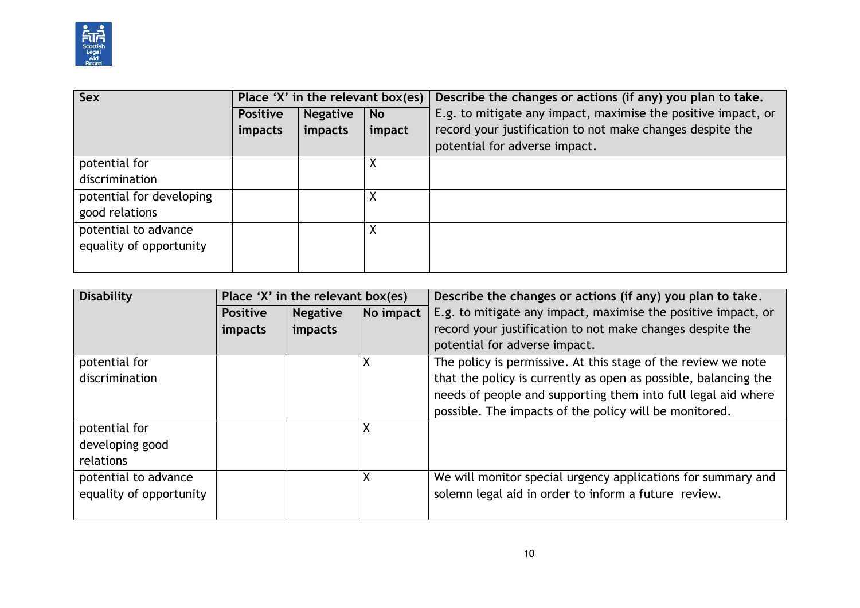

| Sex                      | Place 'X' in the relevant box(es) |                 |           | Describe the changes or actions (if any) you plan to take.    |
|--------------------------|-----------------------------------|-----------------|-----------|---------------------------------------------------------------|
|                          | <b>Positive</b>                   | <b>Negative</b> | <b>No</b> | E.g. to mitigate any impact, maximise the positive impact, or |
|                          | impacts                           | impacts         | impact    | record your justification to not make changes despite the     |
|                          |                                   |                 |           | potential for adverse impact.                                 |
| potential for            |                                   |                 |           |                                                               |
| discrimination           |                                   |                 |           |                                                               |
| potential for developing |                                   |                 |           |                                                               |
| good relations           |                                   |                 |           |                                                               |
| potential to advance     |                                   |                 | Χ         |                                                               |
| equality of opportunity  |                                   |                 |           |                                                               |
|                          |                                   |                 |           |                                                               |

| <b>Disability</b><br>Place 'X' in the relevant box(es) |                 |                 | Describe the changes or actions (if any) you plan to take. |                                                                 |
|--------------------------------------------------------|-----------------|-----------------|------------------------------------------------------------|-----------------------------------------------------------------|
|                                                        | <b>Positive</b> | <b>Negative</b> | No impact                                                  | E.g. to mitigate any impact, maximise the positive impact, or   |
|                                                        | impacts         | impacts         |                                                            | record your justification to not make changes despite the       |
|                                                        |                 |                 |                                                            | potential for adverse impact.                                   |
| potential for                                          |                 |                 | X                                                          | The policy is permissive. At this stage of the review we note   |
| discrimination                                         |                 |                 |                                                            | that the policy is currently as open as possible, balancing the |
|                                                        |                 |                 |                                                            | needs of people and supporting them into full legal aid where   |
|                                                        |                 |                 |                                                            | possible. The impacts of the policy will be monitored.          |
| potential for                                          |                 |                 | X                                                          |                                                                 |
| developing good                                        |                 |                 |                                                            |                                                                 |
| relations                                              |                 |                 |                                                            |                                                                 |
| potential to advance                                   |                 |                 | X                                                          | We will monitor special urgency applications for summary and    |
| equality of opportunity                                |                 |                 |                                                            | solemn legal aid in order to inform a future review.            |
|                                                        |                 |                 |                                                            |                                                                 |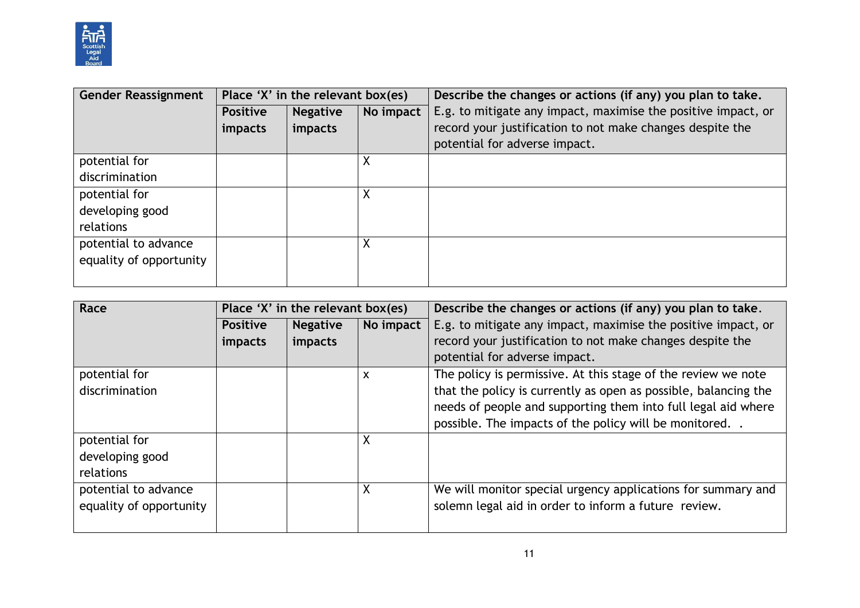

| <b>Gender Reassignment</b> | Place 'X' in the relevant box(es) |                 |           | Describe the changes or actions (if any) you plan to take.    |
|----------------------------|-----------------------------------|-----------------|-----------|---------------------------------------------------------------|
|                            | <b>Positive</b>                   | <b>Negative</b> | No impact | E.g. to mitigate any impact, maximise the positive impact, or |
|                            | impacts                           | impacts         |           | record your justification to not make changes despite the     |
|                            |                                   |                 |           | potential for adverse impact.                                 |
| potential for              |                                   |                 | Χ         |                                                               |
| discrimination             |                                   |                 |           |                                                               |
| potential for              |                                   |                 | X         |                                                               |
| developing good            |                                   |                 |           |                                                               |
| relations                  |                                   |                 |           |                                                               |
| potential to advance       |                                   |                 | Χ         |                                                               |
| equality of opportunity    |                                   |                 |           |                                                               |
|                            |                                   |                 |           |                                                               |

| Race<br>Place 'X' in the relevant box(es) |                 |                 | Describe the changes or actions (if any) you plan to take. |                                                                 |
|-------------------------------------------|-----------------|-----------------|------------------------------------------------------------|-----------------------------------------------------------------|
|                                           | <b>Positive</b> | <b>Negative</b> | No impact                                                  | E.g. to mitigate any impact, maximise the positive impact, or   |
|                                           | impacts         | impacts         |                                                            | record your justification to not make changes despite the       |
|                                           |                 |                 |                                                            | potential for adverse impact.                                   |
| potential for                             |                 |                 | X                                                          | The policy is permissive. At this stage of the review we note   |
| discrimination                            |                 |                 |                                                            | that the policy is currently as open as possible, balancing the |
|                                           |                 |                 |                                                            | needs of people and supporting them into full legal aid where   |
|                                           |                 |                 |                                                            | possible. The impacts of the policy will be monitored           |
| potential for                             |                 |                 | $\boldsymbol{\mathsf{X}}$                                  |                                                                 |
| developing good                           |                 |                 |                                                            |                                                                 |
| relations                                 |                 |                 |                                                            |                                                                 |
| potential to advance                      |                 |                 | $\boldsymbol{\mathsf{X}}$                                  | We will monitor special urgency applications for summary and    |
| equality of opportunity                   |                 |                 |                                                            | solemn legal aid in order to inform a future review.            |
|                                           |                 |                 |                                                            |                                                                 |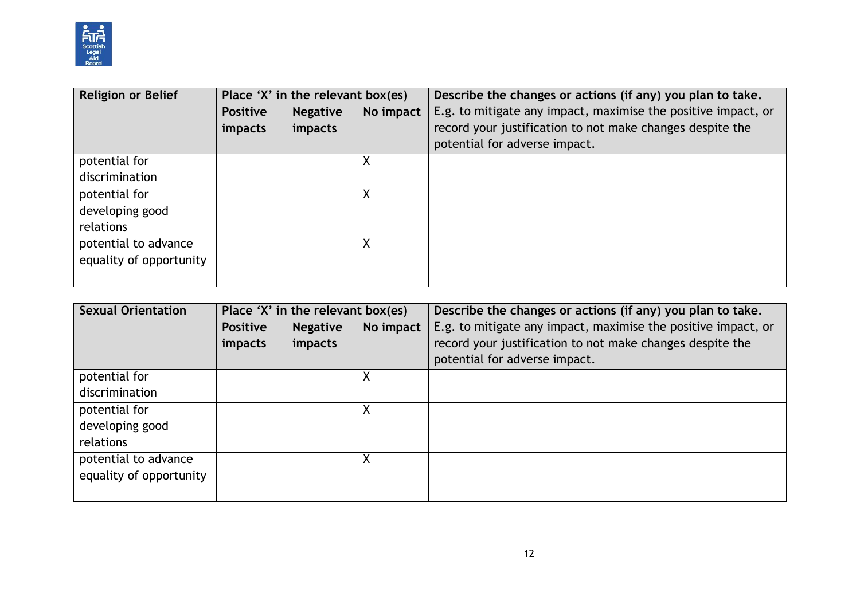

| <b>Religion or Belief</b> | Place 'X' in the relevant box(es) |                 |           | Describe the changes or actions (if any) you plan to take.    |
|---------------------------|-----------------------------------|-----------------|-----------|---------------------------------------------------------------|
|                           | <b>Positive</b>                   | <b>Negative</b> | No impact | E.g. to mitigate any impact, maximise the positive impact, or |
|                           | <i>impacts</i>                    | impacts         |           | record your justification to not make changes despite the     |
|                           |                                   |                 |           | potential for adverse impact.                                 |
| potential for             |                                   |                 | Χ         |                                                               |
| discrimination            |                                   |                 |           |                                                               |
| potential for             |                                   |                 | X         |                                                               |
| developing good           |                                   |                 |           |                                                               |
| relations                 |                                   |                 |           |                                                               |
| potential to advance      |                                   |                 | X         |                                                               |
| equality of opportunity   |                                   |                 |           |                                                               |
|                           |                                   |                 |           |                                                               |

| <b>Sexual Orientation</b> | Place 'X' in the relevant box(es) |                 |           | Describe the changes or actions (if any) you plan to take.    |
|---------------------------|-----------------------------------|-----------------|-----------|---------------------------------------------------------------|
|                           | <b>Positive</b>                   | <b>Negative</b> | No impact | E.g. to mitigate any impact, maximise the positive impact, or |
|                           | <i>impacts</i>                    | impacts         |           | record your justification to not make changes despite the     |
|                           |                                   |                 |           | potential for adverse impact.                                 |
| potential for             |                                   |                 | X         |                                                               |
| discrimination            |                                   |                 |           |                                                               |
| potential for             |                                   |                 | Χ         |                                                               |
| developing good           |                                   |                 |           |                                                               |
| relations                 |                                   |                 |           |                                                               |
| potential to advance      |                                   |                 | Χ         |                                                               |
| equality of opportunity   |                                   |                 |           |                                                               |
|                           |                                   |                 |           |                                                               |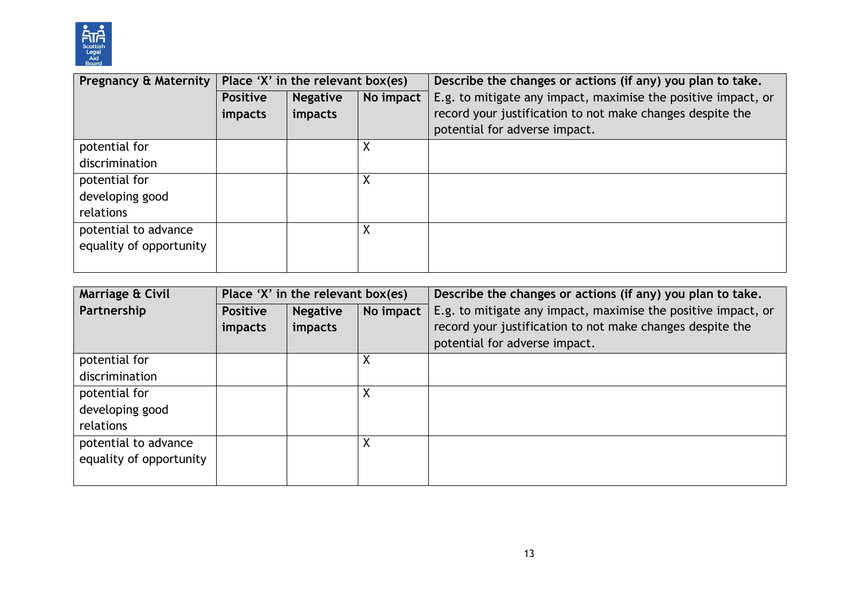

| Pregnancy & Maternity   | Place 'X' in the relevant box(es) |                 |           | Describe the changes or actions (if any) you plan to take.    |  |
|-------------------------|-----------------------------------|-----------------|-----------|---------------------------------------------------------------|--|
|                         | <b>Positive</b>                   | <b>Negative</b> | No impact | E.g. to mitigate any impact, maximise the positive impact, or |  |
|                         | <i>impacts</i>                    | impacts         |           | record your justification to not make changes despite the     |  |
|                         |                                   |                 |           | potential for adverse impact.                                 |  |
| potential for           |                                   |                 |           |                                                               |  |
| discrimination          |                                   |                 |           |                                                               |  |
| potential for           |                                   |                 | Χ         |                                                               |  |
| developing good         |                                   |                 |           |                                                               |  |
| relations               |                                   |                 |           |                                                               |  |
| potential to advance    |                                   |                 |           |                                                               |  |
| equality of opportunity |                                   |                 |           |                                                               |  |
|                         |                                   |                 |           |                                                               |  |

| Marriage & Civil        | Place 'X' in the relevant box(es) |                 |           | Describe the changes or actions (if any) you plan to take.    |  |
|-------------------------|-----------------------------------|-----------------|-----------|---------------------------------------------------------------|--|
| Partnership             | <b>Positive</b>                   | <b>Negative</b> | No impact | E.g. to mitigate any impact, maximise the positive impact, or |  |
|                         | impacts                           | impacts         |           | record your justification to not make changes despite the     |  |
|                         |                                   |                 |           | potential for adverse impact.                                 |  |
| potential for           |                                   |                 | Χ         |                                                               |  |
| discrimination          |                                   |                 |           |                                                               |  |
| potential for           |                                   |                 | ν<br>ᄉ    |                                                               |  |
| developing good         |                                   |                 |           |                                                               |  |
| relations               |                                   |                 |           |                                                               |  |
| potential to advance    |                                   |                 | $\lambda$ |                                                               |  |
| equality of opportunity |                                   |                 |           |                                                               |  |
|                         |                                   |                 |           |                                                               |  |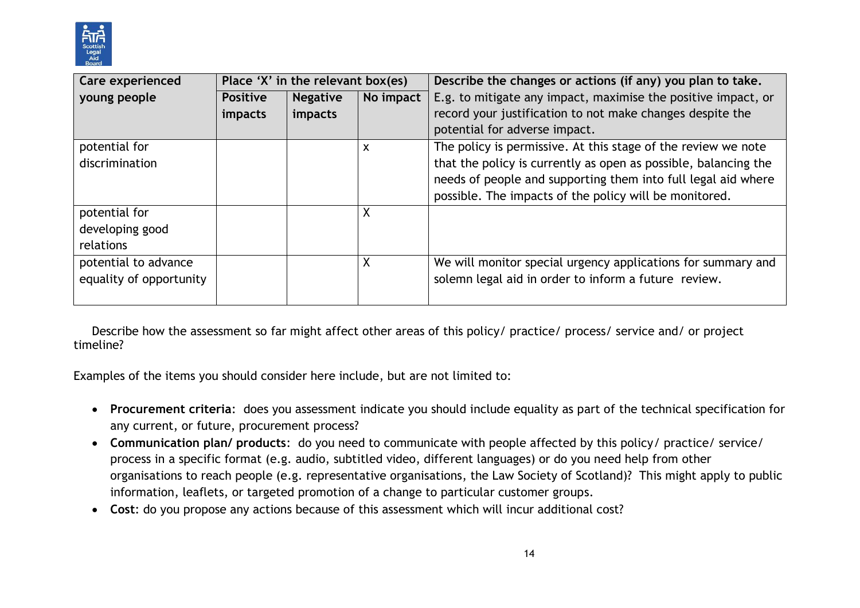

| <b>Care experienced</b> | Place 'X' in the relevant box(es) |                 |           | Describe the changes or actions (if any) you plan to take.      |  |
|-------------------------|-----------------------------------|-----------------|-----------|-----------------------------------------------------------------|--|
| young people            | <b>Positive</b>                   | <b>Negative</b> | No impact | E.g. to mitigate any impact, maximise the positive impact, or   |  |
|                         | impacts                           | impacts         |           | record your justification to not make changes despite the       |  |
|                         |                                   |                 |           | potential for adverse impact.                                   |  |
| potential for           |                                   |                 | X         | The policy is permissive. At this stage of the review we note   |  |
| discrimination          |                                   |                 |           | that the policy is currently as open as possible, balancing the |  |
|                         |                                   |                 |           | needs of people and supporting them into full legal aid where   |  |
|                         |                                   |                 |           | possible. The impacts of the policy will be monitored.          |  |
| potential for           |                                   |                 | X         |                                                                 |  |
| developing good         |                                   |                 |           |                                                                 |  |
| relations               |                                   |                 |           |                                                                 |  |
| potential to advance    |                                   |                 | X         | We will monitor special urgency applications for summary and    |  |
| equality of opportunity |                                   |                 |           | solemn legal aid in order to inform a future review.            |  |
|                         |                                   |                 |           |                                                                 |  |

Describe how the assessment so far might affect other areas of this policy/ practice/ process/ service and/ or project timeline?

Examples of the items you should consider here include, but are not limited to:

- **Procurement criteria**: does you assessment indicate you should include equality as part of the technical specification for any current, or future, procurement process?
- **Communication plan/ products**: do you need to communicate with people affected by this policy/ practice/ service/ process in a specific format (e.g. audio, subtitled video, different languages) or do you need help from other organisations to reach people (e.g. representative organisations, the Law Society of Scotland)? This might apply to public information, leaflets, or targeted promotion of a change to particular customer groups.
- **Cost**: do you propose any actions because of this assessment which will incur additional cost?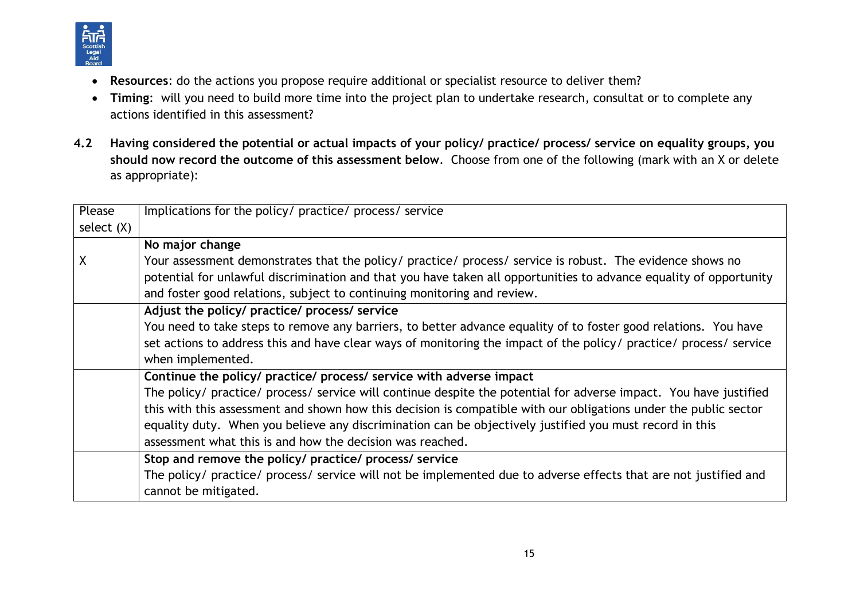

- **Resources**: do the actions you propose require additional or specialist resource to deliver them?
- **Timing**: will you need to build more time into the project plan to undertake research, consultat or to complete any actions identified in this assessment?
- **4.2 Having considered the potential or actual impacts of your policy/ practice/ process/ service on equality groups, you should now record the outcome of this assessment below**. Choose from one of the following (mark with an X or delete as appropriate):

| Please       | Implications for the policy/ practice/ process/ service                                                            |
|--------------|--------------------------------------------------------------------------------------------------------------------|
| select $(X)$ |                                                                                                                    |
|              | No major change                                                                                                    |
| χ            | Your assessment demonstrates that the policy/ practice/ process/ service is robust. The evidence shows no          |
|              | potential for unlawful discrimination and that you have taken all opportunities to advance equality of opportunity |
|              | and foster good relations, subject to continuing monitoring and review.                                            |
|              | Adjust the policy/ practice/ process/ service                                                                      |
|              | You need to take steps to remove any barriers, to better advance equality of to foster good relations. You have    |
|              | set actions to address this and have clear ways of monitoring the impact of the policy/ practice/ process/ service |
|              | when implemented.                                                                                                  |
|              | Continue the policy/ practice/ process/ service with adverse impact                                                |
|              | The policy/ practice/ process/ service will continue despite the potential for adverse impact. You have justified  |
|              | this with this assessment and shown how this decision is compatible with our obligations under the public sector   |
|              | equality duty. When you believe any discrimination can be objectively justified you must record in this            |
|              | assessment what this is and how the decision was reached.                                                          |
|              | Stop and remove the policy/ practice/ process/ service                                                             |
|              | The policy/ practice/ process/ service will not be implemented due to adverse effects that are not justified and   |
|              | cannot be mitigated.                                                                                               |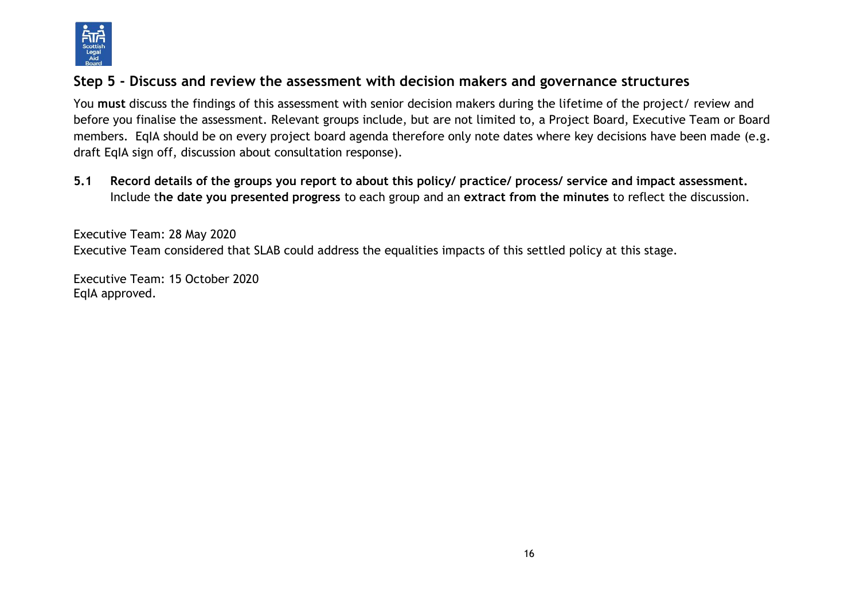

## **Step 5 - Discuss and review the assessment with decision makers and governance structures**

You **must** discuss the findings of this assessment with senior decision makers during the lifetime of the project/ review and before you finalise the assessment. Relevant groups include, but are not limited to, a Project Board, Executive Team or Board members. EqIA should be on every project board agenda therefore only note dates where key decisions have been made (e.g. draft EqIA sign off, discussion about consultation response).

**5.1 Record details of the groups you report to about this policy/ practice/ process/ service and impact assessment.**  Include t**he date you presented progress** to each group and an **extract from the minutes** to reflect the discussion.

Executive Team: 28 May 2020 Executive Team considered that SLAB could address the equalities impacts of this settled policy at this stage.

Executive Team: 15 October 2020 EqIA approved.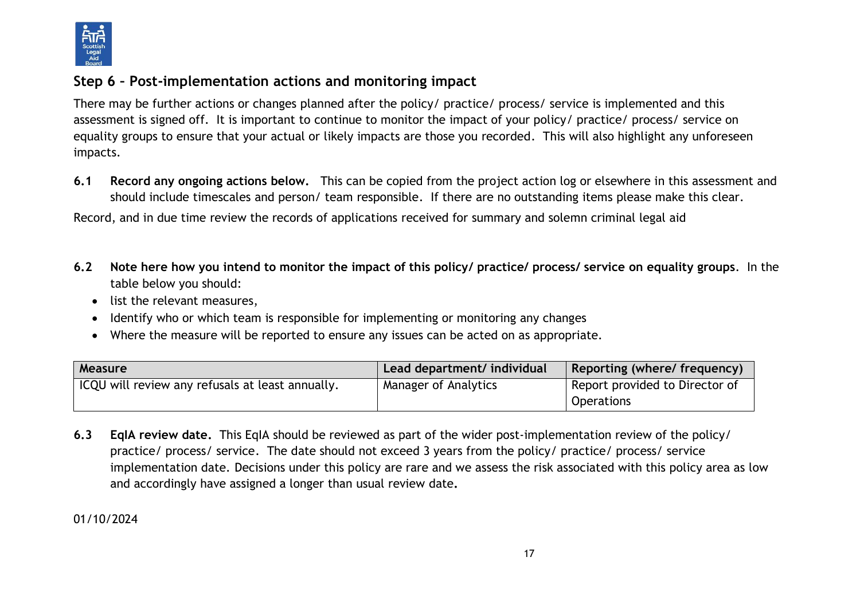

## **Step 6 – Post-implementation actions and monitoring impact**

There may be further actions or changes planned after the policy/ practice/ process/ service is implemented and this assessment is signed off. It is important to continue to monitor the impact of your policy/ practice/ process/ service on equality groups to ensure that your actual or likely impacts are those you recorded. This will also highlight any unforeseen impacts.

**6.1 Record any ongoing actions below.** This can be copied from the project action log or elsewhere in this assessment and should include timescales and person/ team responsible.If there are no outstanding items please make this clear.

Record, and in due time review the records of applications received for summary and solemn criminal legal aid

- **6.2 Note here how you intend to monitor the impact of this policy/ practice/ process/ service on equality groups**. In the table below you should:
	- list the relevant measures,
	- Identify who or which team is responsible for implementing or monitoring any changes
	- Where the measure will be reported to ensure any issues can be acted on as appropriate.

| <b>Measure</b>                                     | Lead department/ individual | Reporting (where/ frequency)   |
|----------------------------------------------------|-----------------------------|--------------------------------|
| I ICQU will review any refusals at least annually. | Manager of Analytics        | Report provided to Director of |
|                                                    |                             | <b>Operations</b>              |

**6.3 EqIA review date.** This EqIA should be reviewed as part of the wider post-implementation review of the policy/ practice/ process/ service. The date should not exceed 3 years from the policy/ practice/ process/ service implementation date. Decisions under this policy are rare and we assess the risk associated with this policy area as low and accordingly have assigned a longer than usual review date**.** 

01/10/2024